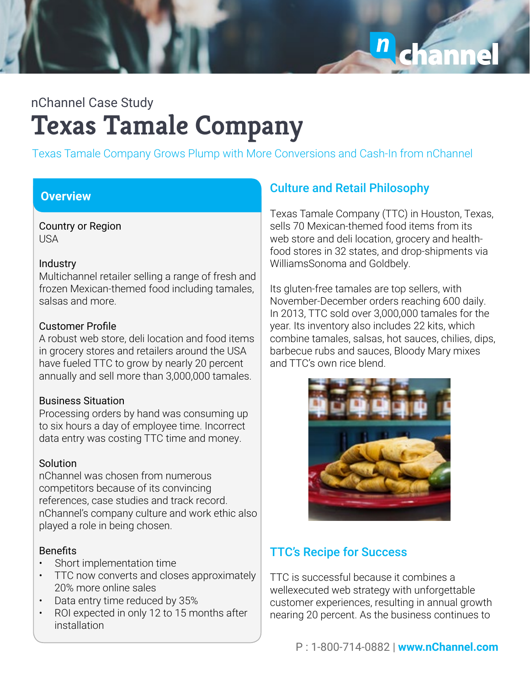

Texas Tamale Company Grows Plump with More Conversions and Cash-In from nChannel

### **Overview**

Country or Region USA

#### **Industry**

Multichannel retailer selling a range of fresh and frozen Mexican-themed food including tamales, salsas and more.

#### Customer Profile

A robust web store, deli location and food items in grocery stores and retailers around the USA have fueled TTC to grow by nearly 20 percent annually and sell more than 3,000,000 tamales.

#### Business Situation

Processing orders by hand was consuming up to six hours a day of employee time. Incorrect data entry was costing TTC time and money.

### **Solution**

nChannel was chosen from numerous competitors because of its convincing references, case studies and track record. nChannel's company culture and work ethic also played a role in being chosen.

### **Benefits**

- Short implementation time
- TTC now converts and closes approximately 20% more online sales
- Data entry time reduced by 35%
- ROI expected in only 12 to 15 months after installation

## **Culture and Retail Philosophy**

Texas Tamale Company (TTC) in Houston, Texas, sells 70 Mexican-themed food items from its web store and deli location, grocery and healthfood stores in 32 states, and drop-shipments via WilliamsSonoma and Goldbely.

Its gluten-free tamales are top sellers, with November-December orders reaching 600 daily. In 2013, TTC sold over 3,000,000 tamales for the year. Its inventory also includes 22 kits, which combine tamales, salsas, hot sauces, chilies, dips, barbecue rubs and sauces, Bloody Mary mixes and TTC's own rice blend.



## TTC's Recipe for Success

TTC is successful because it combines a wellexecuted web strategy with unforgettable customer experiences, resulting in annual growth nearing 20 percent. As the business continues to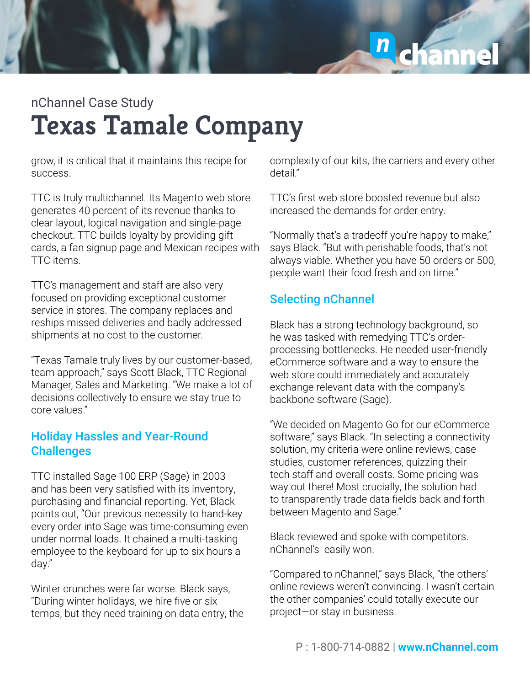

grow, it is critical that it maintains this recipe for success.

TTC is truly multichannel. Its Magento web store generates 40 percent of its revenue thanks to clear layout, logical navigation and single-page checkout. TTC builds loyalty by providing gift cards, a fan signup page and Mexican recipes with TTC items.

TTC's management and staff are also very focused on providing exceptional customer service in stores. The company replaces and reships missed deliveries and badly addressed shipments at no cost to the customer.

"Texas Tamale truly lives by our customer-based, team approach," says Scott Black, TTC Regional Manager, Sales and Marketing. "We make a lot of decisions collectively to ensure we stay true to core values."

### Holiday Hassles and Year-Round **Challenges**

TTC installed Sage 100 ERP (Sage) in 2003 and has been very satisfied with its inventory, purchasing and financial reporting. Yet, Black points out, "Our previous necessity to hand-key every order into Sage was time-consuming even under normal loads. It chained a multi-tasking employee to the keyboard for up to six hours a day."

Winter crunches were far worse. Black says, "During winter holidays, we hire five or six temps, but they need training on data entry, the complexity of our kits, the carriers and every other detail."

TTC's first web store boosted revenue but also increased the demands for order entry.

"Normally that's a tradeoff you're happy to make," says Black. "But with perishable foods, that's not always viable. Whether you have 50 orders or 500, people want their food fresh and on time."

## Selecting nChannel

Black has a strong technology background, so he was tasked with remedying TTC's orderprocessing bottlenecks. He needed user-friendly eCommerce software and a way to ensure the web store could immediately and accurately exchange relevant data with the company's backbone software (Sage).

"We decided on Magento Go for our eCommerce software," says Black. "In selecting a connectivity solution, my criteria were online reviews, case studies, customer references, quizzing their tech staff and overall costs. Some pricing was way out there! Most crucially, the solution had to transparently trade data fields back and forth between Magento and Sage."

Black reviewed and spoke with competitors. nChannel's easily won.

"Compared to nChannel," says Black, "the others' online reviews weren't convincing. I wasn't certain the other companies' could totally execute our project—or stay in business.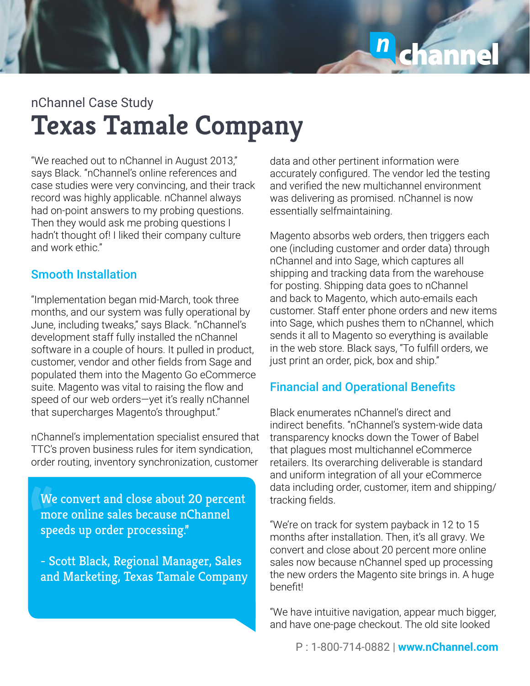

"We reached out to nChannel in August 2013," says Black. "nChannel's online references and case studies were very convincing, and their track record was highly applicable. nChannel always had on-point answers to my probing questions. Then they would ask me probing questions I hadn't thought of! I liked their company culture and work ethic."

### Smooth Installation

"Implementation began mid-March, took three months, and our system was fully operational by June, including tweaks," says Black. "nChannel's development staff fully installed the nChannel software in a couple of hours. It pulled in product, customer, vendor and other fields from Sage and populated them into the Magento Go eCommerce suite. Magento was vital to raising the flow and speed of our web orders—yet it's really nChannel that supercharges Magento's throughput."

nChannel's implementation specialist ensured that TTC's proven business rules for item syndication, order routing, inventory synchronization, customer

**"**We convert and close about 20 percent more online sales because nChannel speeds up order processing."

- Scott Black, Regional Manager, Sales and Marketing, Texas Tamale Company data and other pertinent information were accurately configured. The vendor led the testing and verified the new multichannel environment was delivering as promised. nChannel is now essentially selfmaintaining.

Magento absorbs web orders, then triggers each one (including customer and order data) through nChannel and into Sage, which captures all shipping and tracking data from the warehouse for posting. Shipping data goes to nChannel and back to Magento, which auto-emails each customer. Staff enter phone orders and new items into Sage, which pushes them to nChannel, which sends it all to Magento so everything is available in the web store. Black says, "To fulfill orders, we just print an order, pick, box and ship."

### Financial and Operational Benefits

Black enumerates nChannel's direct and indirect benefits. "nChannel's system-wide data transparency knocks down the Tower of Babel that plagues most multichannel eCommerce retailers. Its overarching deliverable is standard and uniform integration of all your eCommerce data including order, customer, item and shipping/ tracking fields.

"We're on track for system payback in 12 to 15 months after installation. Then, it's all gravy. We convert and close about 20 percent more online sales now because nChannel sped up processing the new orders the Magento site brings in. A huge benefit!

"We have intuitive navigation, appear much bigger, and have one-page checkout. The old site looked